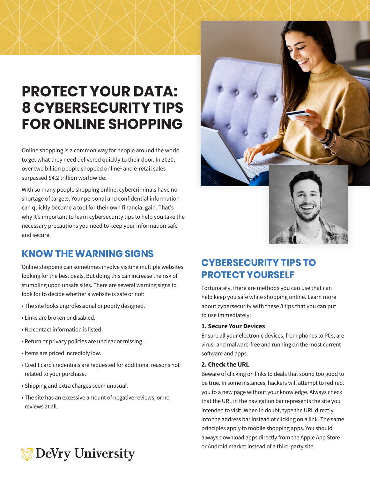## **PROTECT YOUR DATA: 8 CYBERSECURITY TIPS FOR ONLINE SHOPPING**

Online shopping is a common way for people around the world to get what they need delivered quickly to their door. In 2020, over two billion people shopped online<sup>1</sup> and e-retail sales surpassed \$4.2 trillion worldwide.

With so many people shopping online, cybercriminals have no shortage of targets. Your personal and confidential information can quickly become a tool for their own financial gain. That's why it's important to learn cybersecurity tips to help you take the necessary precautions you need to keep your information safe and secure.

### **KNOW THE WARNING SIGNS**

Online shopping can sometimes involve visiting multiple websites looking for the best deals. But doing this can increase the risk of stumbling upon unsafe sites. There are several warning signs to look for to decide whether a website is safe or not:

- The site looks unprofessional or poorly designed.
- Links are broken or disabled.
- No contact information is listed.
- Return or privacy policies are unclear or missing.
- Items are priced incredibly low.
- Credit card credentials are requested for additional reasons not related to your purchase.
- Shipping and extra charges seem unusual.
- The site has an excessive amount of negative reviews, or no reviews at all.



## **CYBERSECURITY TIPS TO PROTECT YOURSELF**

Fortunately, there are methods you can use that can help keep you safe while shopping online. Learn more about cybersecurity with these 8 tips that you can put to use immediately:

#### **1. Secure Your Devices**

Ensure all your electronic devices, from phones to PCs, are virus- and malware-free and running on the most current software and apps.

#### **2. Check the URL**

Beware of clicking on links to deals that sound too good to be true. In some instances, hackers will attempt to redirect you to a new page without your knowledge. Always check that the URL in the navigation bar represents the site you intended to visit. When in doubt, type the URL directly into the address bar instead of clicking on a link. The same principles apply to mobile shopping apps. You should always download apps directly from the Apple App Store or Android market instead of a third-party site.

# **DeVry University**